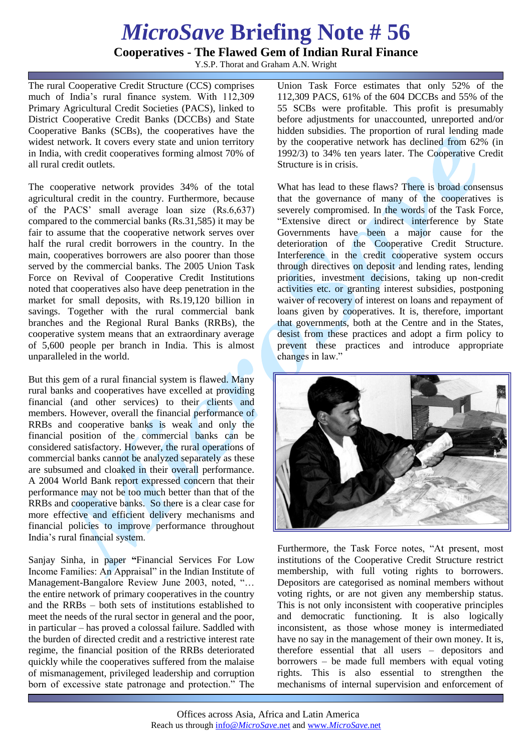## *MicroSave* **Briefing Note # 56**

**Cooperatives - The Flawed Gem of Indian Rural Finance**

Y.S.P. Thorat and Graham A.N. Wright

The rural Cooperative Credit Structure (CCS) comprises much of India's rural finance system. With 112,309 Primary Agricultural Credit Societies (PACS), linked to District Cooperative Credit Banks (DCCBs) and State Cooperative Banks (SCBs), the cooperatives have the widest network. It covers every state and union territory in India, with credit cooperatives forming almost 70% of all rural credit outlets.

The cooperative network provides 34% of the total agricultural credit in the country. Furthermore, because of the PACS' small average loan size (Rs.6,637) compared to the commercial banks (Rs.31,585) it may be fair to assume that the cooperative network serves over half the rural credit borrowers in the country. In the main, cooperatives borrowers are also poorer than those served by the commercial banks. The 2005 Union Task Force on Revival of Cooperative Credit Institutions noted that cooperatives also have deep penetration in the market for small deposits, with Rs.19,120 billion in savings. Together with the rural commercial bank branches and the Regional Rural Banks (RRBs), the cooperative system means that an extraordinary average of 5,600 people per branch in India. This is almost unparalleled in the world.

But this gem of a rural financial system is flawed. Many rural banks and cooperatives have excelled at providing financial (and other services) to their clients and members. However, overall the financial performance of RRBs and cooperative banks is weak and only the financial position of the commercial banks can be considered satisfactory. However, the rural operations of commercial banks cannot be analyzed separately as these are subsumed and cloaked in their overall performance. A 2004 World Bank report expressed concern that their performance may not be too much better than that of the RRBs and cooperative banks. So there is a clear case for more effective and efficient delivery mechanisms and financial policies to improve performance throughout India's rural financial system.

Sanjay Sinha, in paper **"**Financial Services For Low Income Families: An Appraisal" in the Indian Institute of Management-Bangalore Review June 2003, noted, "… the entire network of primary cooperatives in the country and the RRBs – both sets of institutions established to meet the needs of the rural sector in general and the poor, in particular – has proved a colossal failure. Saddled with the burden of directed credit and a restrictive interest rate regime, the financial position of the RRBs deteriorated quickly while the cooperatives suffered from the malaise of mismanagement, privileged leadership and corruption born of excessive state patronage and protection." The

Union Task Force estimates that only 52% of the 112,309 PACS, 61% of the 604 DCCBs and 55% of the 55 SCBs were profitable. This profit is presumably before adjustments for unaccounted, unreported and/or hidden subsidies. The proportion of rural lending made by the cooperative network has declined from 62% (in 1992/3) to 34% ten years later. The Cooperative Credit Structure is in crisis.

What has lead to these flaws? There is broad consensus that the governance of many of the cooperatives is severely compromised. In the words of the Task Force, "Extensive direct or indirect interference by State Governments have been a major cause for the deterioration of the Cooperative Credit Structure. Interference in the credit cooperative system occurs through directives on deposit and lending rates, lending priorities, investment decisions, taking up non-credit activities etc. or granting interest subsidies, postponing waiver of recovery of interest on loans and repayment of loans given by cooperatives. It is, therefore, important that governments, both at the Centre and in the States, desist from these practices and adopt a firm policy to prevent these practices and introduce appropriate changes in law."



Furthermore, the Task Force notes, "At present, most institutions of the Cooperative Credit Structure restrict membership, with full voting rights to borrowers. Depositors are categorised as nominal members without voting rights, or are not given any membership status. This is not only inconsistent with cooperative principles and democratic functioning. It is also logically inconsistent, as those whose money is intermediated have no say in the management of their own money. It is, therefore essential that all users – depositors and borrowers – be made full members with equal voting rights. This is also essential to strengthen the mechanisms of internal supervision and enforcement of